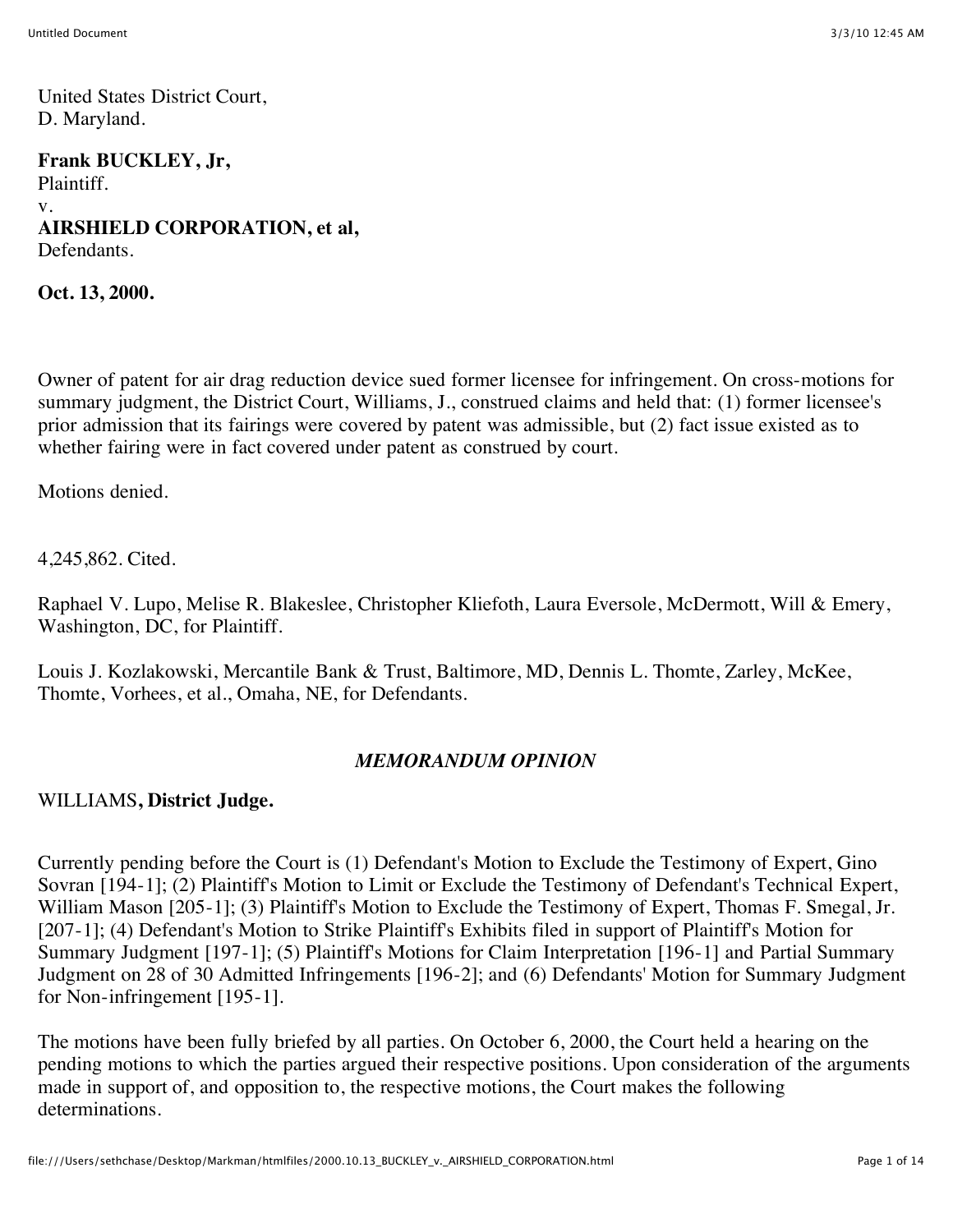United States District Court, D. Maryland.

**Frank BUCKLEY, Jr,** Plaintiff. v. **AIRSHIELD CORPORATION, et al,** Defendants.

**Oct. 13, 2000.**

Owner of patent for air drag reduction device sued former licensee for infringement. On cross-motions for summary judgment, the District Court, Williams, J., construed claims and held that: (1) former licensee's prior admission that its fairings were covered by patent was admissible, but (2) fact issue existed as to whether fairing were in fact covered under patent as construed by court.

Motions denied.

4,245,862. Cited.

Raphael V. Lupo, Melise R. Blakeslee, Christopher Kliefoth, Laura Eversole, McDermott, Will & Emery, Washington, DC, for Plaintiff.

Louis J. Kozlakowski, Mercantile Bank & Trust, Baltimore, MD, Dennis L. Thomte, Zarley, McKee, Thomte, Vorhees, et al., Omaha, NE, for Defendants.

#### *MEMORANDUM OPINION*

#### WILLIAMS**, District Judge.**

Currently pending before the Court is (1) Defendant's Motion to Exclude the Testimony of Expert, Gino Sovran [194-1]; (2) Plaintiff's Motion to Limit or Exclude the Testimony of Defendant's Technical Expert, William Mason [205-1]; (3) Plaintiff's Motion to Exclude the Testimony of Expert, Thomas F. Smegal, Jr. [207-1]; (4) Defendant's Motion to Strike Plaintiff's Exhibits filed in support of Plaintiff's Motion for Summary Judgment [197-1]; (5) Plaintiff's Motions for Claim Interpretation [196-1] and Partial Summary Judgment on 28 of 30 Admitted Infringements [196-2]; and (6) Defendants' Motion for Summary Judgment for Non-infringement [195-1].

The motions have been fully briefed by all parties. On October 6, 2000, the Court held a hearing on the pending motions to which the parties argued their respective positions. Upon consideration of the arguments made in support of, and opposition to, the respective motions, the Court makes the following determinations.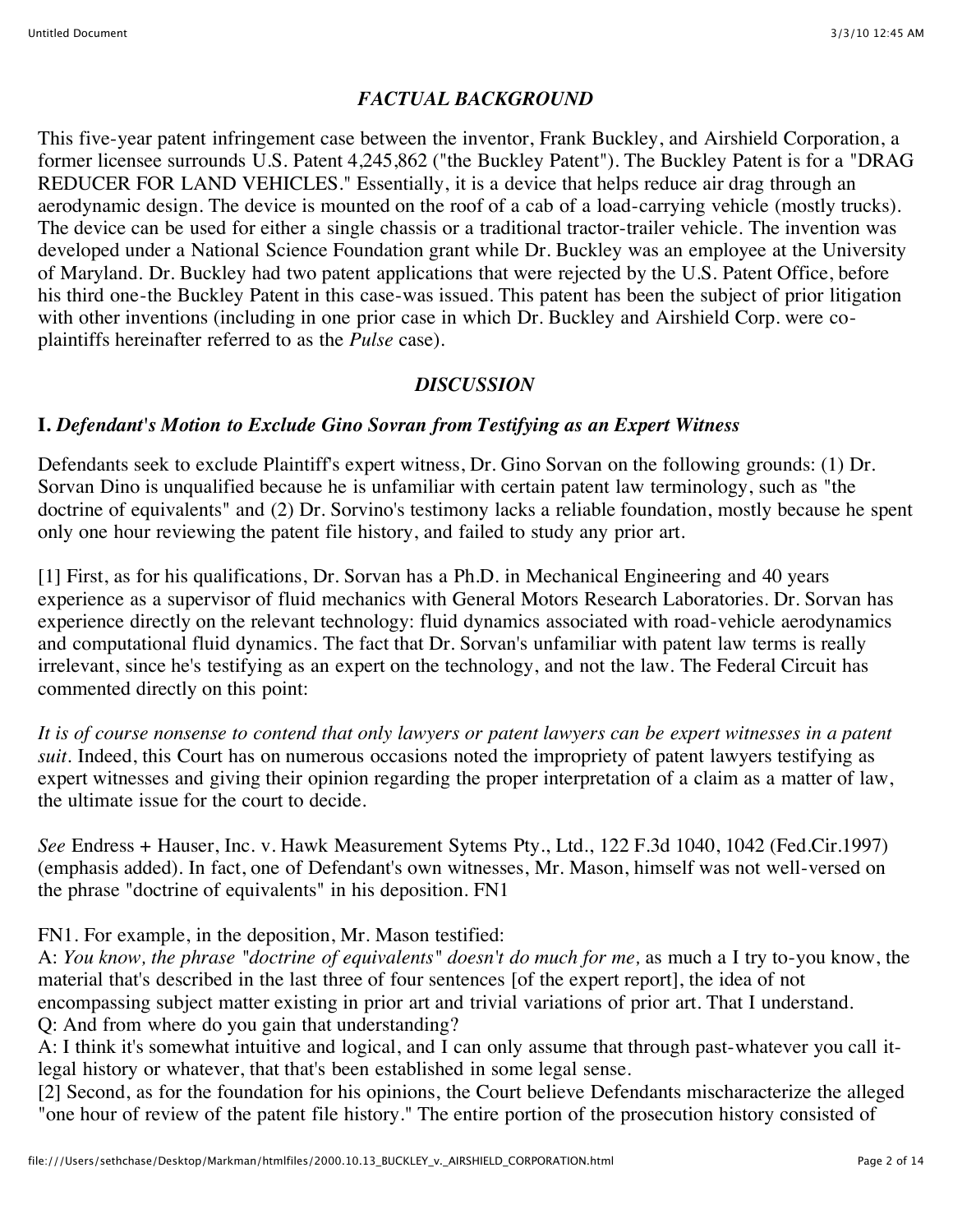### *FACTUAL BACKGROUND*

This five-year patent infringement case between the inventor, Frank Buckley, and Airshield Corporation, a former licensee surrounds U.S. Patent 4,245,862 ("the Buckley Patent"). The Buckley Patent is for a "DRAG REDUCER FOR LAND VEHICLES." Essentially, it is a device that helps reduce air drag through an aerodynamic design. The device is mounted on the roof of a cab of a load-carrying vehicle (mostly trucks). The device can be used for either a single chassis or a traditional tractor-trailer vehicle. The invention was developed under a National Science Foundation grant while Dr. Buckley was an employee at the University of Maryland. Dr. Buckley had two patent applications that were rejected by the U.S. Patent Office, before his third one-the Buckley Patent in this case-was issued. This patent has been the subject of prior litigation with other inventions (including in one prior case in which Dr. Buckley and Airshield Corp. were coplaintiffs hereinafter referred to as the *Pulse* case).

### *DISCUSSION*

### **I.** *Defendant's Motion to Exclude Gino Sovran from Testifying as an Expert Witness*

Defendants seek to exclude Plaintiff's expert witness, Dr. Gino Sorvan on the following grounds: (1) Dr. Sorvan Dino is unqualified because he is unfamiliar with certain patent law terminology, such as "the doctrine of equivalents" and (2) Dr. Sorvino's testimony lacks a reliable foundation, mostly because he spent only one hour reviewing the patent file history, and failed to study any prior art.

[1] First, as for his qualifications, Dr. Sorvan has a Ph.D. in Mechanical Engineering and 40 years experience as a supervisor of fluid mechanics with General Motors Research Laboratories. Dr. Sorvan has experience directly on the relevant technology: fluid dynamics associated with road-vehicle aerodynamics and computational fluid dynamics. The fact that Dr. Sorvan's unfamiliar with patent law terms is really irrelevant, since he's testifying as an expert on the technology, and not the law. The Federal Circuit has commented directly on this point:

*It is of course nonsense to contend that only lawyers or patent lawyers can be expert witnesses in a patent suit.* Indeed, this Court has on numerous occasions noted the impropriety of patent lawyers testifying as expert witnesses and giving their opinion regarding the proper interpretation of a claim as a matter of law, the ultimate issue for the court to decide.

*See* Endress + Hauser, Inc. v. Hawk Measurement Sytems Pty., Ltd., 122 F.3d 1040, 1042 (Fed.Cir.1997) (emphasis added). In fact, one of Defendant's own witnesses, Mr. Mason, himself was not well-versed on the phrase "doctrine of equivalents" in his deposition. FN1

### FN1. For example, in the deposition, Mr. Mason testified:

A: *You know, the phrase "doctrine of equivalents" doesn't do much for me,* as much a I try to-you know, the material that's described in the last three of four sentences [of the expert report], the idea of not encompassing subject matter existing in prior art and trivial variations of prior art. That I understand. Q: And from where do you gain that understanding?

A: I think it's somewhat intuitive and logical, and I can only assume that through past-whatever you call itlegal history or whatever, that that's been established in some legal sense.

[2] Second, as for the foundation for his opinions, the Court believe Defendants mischaracterize the alleged "one hour of review of the patent file history." The entire portion of the prosecution history consisted of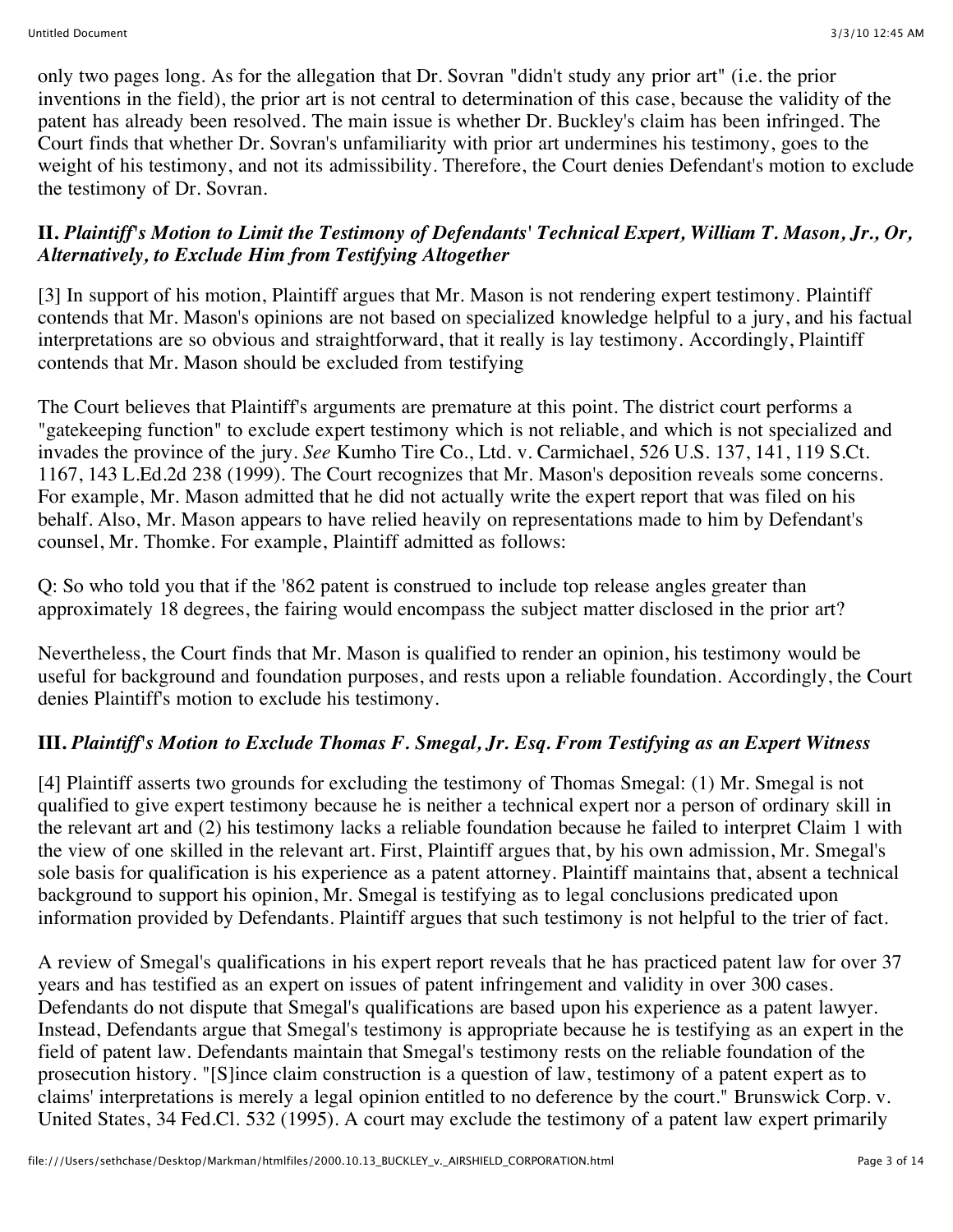only two pages long. As for the allegation that Dr. Sovran "didn't study any prior art" (i.e. the prior inventions in the field), the prior art is not central to determination of this case, because the validity of the patent has already been resolved. The main issue is whether Dr. Buckley's claim has been infringed. The Court finds that whether Dr. Sovran's unfamiliarity with prior art undermines his testimony, goes to the weight of his testimony, and not its admissibility. Therefore, the Court denies Defendant's motion to exclude the testimony of Dr. Sovran.

### **II.** *Plaintiff's Motion to Limit the Testimony of Defendants' Technical Expert, William T. Mason, Jr., Or, Alternatively, to Exclude Him from Testifying Altogether*

[3] In support of his motion, Plaintiff argues that Mr. Mason is not rendering expert testimony. Plaintiff contends that Mr. Mason's opinions are not based on specialized knowledge helpful to a jury, and his factual interpretations are so obvious and straightforward, that it really is lay testimony. Accordingly, Plaintiff contends that Mr. Mason should be excluded from testifying

The Court believes that Plaintiff's arguments are premature at this point. The district court performs a "gatekeeping function" to exclude expert testimony which is not reliable, and which is not specialized and invades the province of the jury. *See* Kumho Tire Co., Ltd. v. Carmichael, 526 U.S. 137, 141, 119 S.Ct. 1167, 143 L.Ed.2d 238 (1999). The Court recognizes that Mr. Mason's deposition reveals some concerns. For example, Mr. Mason admitted that he did not actually write the expert report that was filed on his behalf. Also, Mr. Mason appears to have relied heavily on representations made to him by Defendant's counsel, Mr. Thomke. For example, Plaintiff admitted as follows:

Q: So who told you that if the '862 patent is construed to include top release angles greater than approximately 18 degrees, the fairing would encompass the subject matter disclosed in the prior art?

Nevertheless, the Court finds that Mr. Mason is qualified to render an opinion, his testimony would be useful for background and foundation purposes, and rests upon a reliable foundation. Accordingly, the Court denies Plaintiff's motion to exclude his testimony.

### **III.** *Plaintiff's Motion to Exclude Thomas F. Smegal, Jr. Esq. From Testifying as an Expert Witness*

[4] Plaintiff asserts two grounds for excluding the testimony of Thomas Smegal: (1) Mr. Smegal is not qualified to give expert testimony because he is neither a technical expert nor a person of ordinary skill in the relevant art and (2) his testimony lacks a reliable foundation because he failed to interpret Claim 1 with the view of one skilled in the relevant art. First, Plaintiff argues that, by his own admission, Mr. Smegal's sole basis for qualification is his experience as a patent attorney. Plaintiff maintains that, absent a technical background to support his opinion, Mr. Smegal is testifying as to legal conclusions predicated upon information provided by Defendants. Plaintiff argues that such testimony is not helpful to the trier of fact.

A review of Smegal's qualifications in his expert report reveals that he has practiced patent law for over 37 years and has testified as an expert on issues of patent infringement and validity in over 300 cases. Defendants do not dispute that Smegal's qualifications are based upon his experience as a patent lawyer. Instead, Defendants argue that Smegal's testimony is appropriate because he is testifying as an expert in the field of patent law. Defendants maintain that Smegal's testimony rests on the reliable foundation of the prosecution history. "[S]ince claim construction is a question of law, testimony of a patent expert as to claims' interpretations is merely a legal opinion entitled to no deference by the court." Brunswick Corp. v. United States, 34 Fed.Cl. 532 (1995). A court may exclude the testimony of a patent law expert primarily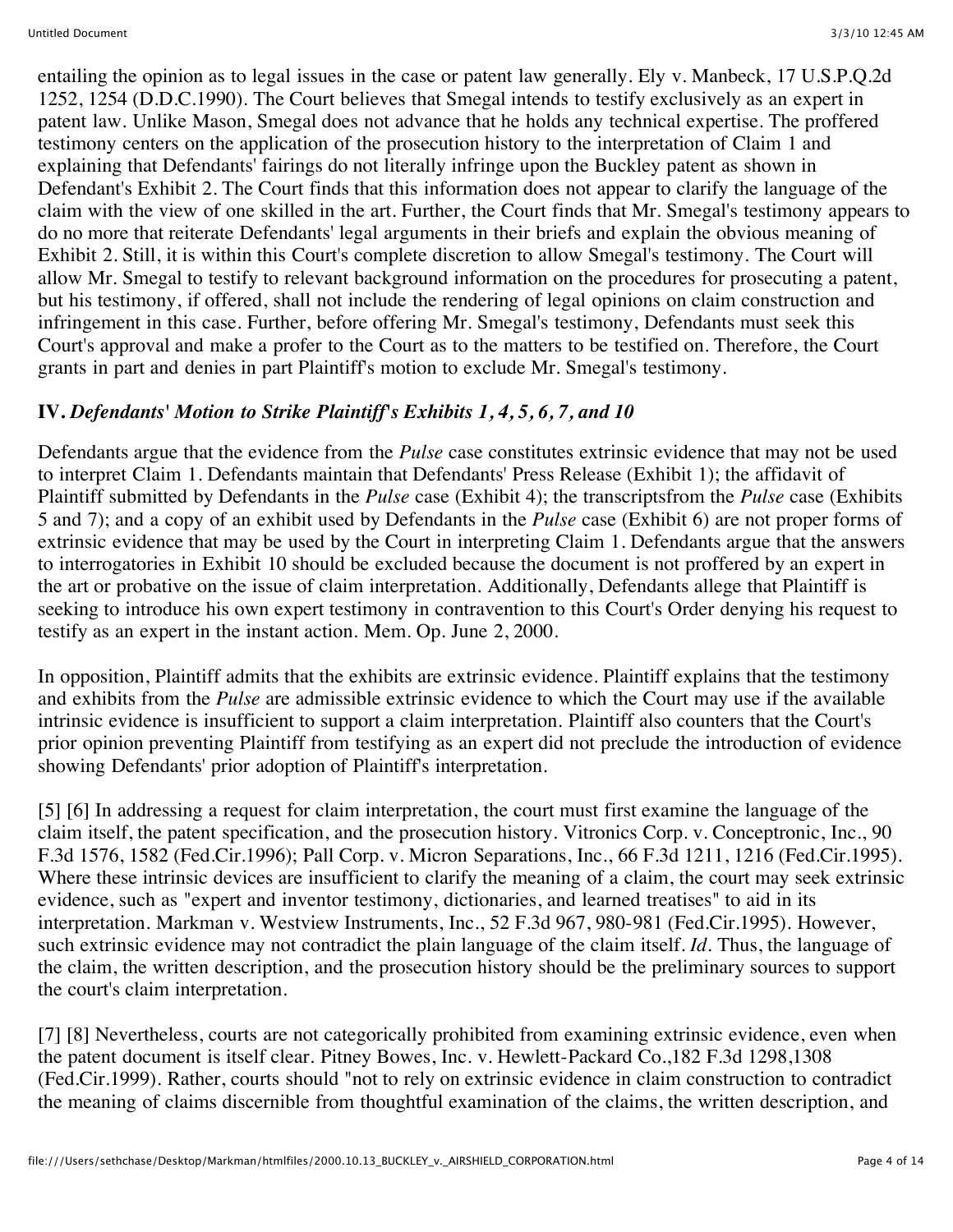entailing the opinion as to legal issues in the case or patent law generally. Ely v. Manbeck, 17 U.S.P.Q.2d 1252, 1254 (D.D.C.1990). The Court believes that Smegal intends to testify exclusively as an expert in patent law. Unlike Mason, Smegal does not advance that he holds any technical expertise. The proffered testimony centers on the application of the prosecution history to the interpretation of Claim 1 and explaining that Defendants' fairings do not literally infringe upon the Buckley patent as shown in Defendant's Exhibit 2. The Court finds that this information does not appear to clarify the language of the claim with the view of one skilled in the art. Further, the Court finds that Mr. Smegal's testimony appears to do no more that reiterate Defendants' legal arguments in their briefs and explain the obvious meaning of Exhibit 2. Still, it is within this Court's complete discretion to allow Smegal's testimony. The Court will allow Mr. Smegal to testify to relevant background information on the procedures for prosecuting a patent, but his testimony, if offered, shall not include the rendering of legal opinions on claim construction and infringement in this case. Further, before offering Mr. Smegal's testimony, Defendants must seek this Court's approval and make a profer to the Court as to the matters to be testified on. Therefore, the Court grants in part and denies in part Plaintiff's motion to exclude Mr. Smegal's testimony.

## **IV.** *Defendants' Motion to Strike Plaintiff's Exhibits 1, 4, 5, 6, 7, and 10*

Defendants argue that the evidence from the *Pulse* case constitutes extrinsic evidence that may not be used to interpret Claim 1. Defendants maintain that Defendants' Press Release (Exhibit 1); the affidavit of Plaintiff submitted by Defendants in the *Pulse* case (Exhibit 4); the transcriptsfrom the *Pulse* case (Exhibits 5 and 7); and a copy of an exhibit used by Defendants in the *Pulse* case (Exhibit 6) are not proper forms of extrinsic evidence that may be used by the Court in interpreting Claim 1. Defendants argue that the answers to interrogatories in Exhibit 10 should be excluded because the document is not proffered by an expert in the art or probative on the issue of claim interpretation. Additionally, Defendants allege that Plaintiff is seeking to introduce his own expert testimony in contravention to this Court's Order denying his request to testify as an expert in the instant action. Mem. Op. June 2, 2000.

In opposition, Plaintiff admits that the exhibits are extrinsic evidence. Plaintiff explains that the testimony and exhibits from the *Pulse* are admissible extrinsic evidence to which the Court may use if the available intrinsic evidence is insufficient to support a claim interpretation. Plaintiff also counters that the Court's prior opinion preventing Plaintiff from testifying as an expert did not preclude the introduction of evidence showing Defendants' prior adoption of Plaintiff's interpretation.

[5] [6] In addressing a request for claim interpretation, the court must first examine the language of the claim itself, the patent specification, and the prosecution history. Vitronics Corp. v. Conceptronic, Inc., 90 F.3d 1576, 1582 (Fed.Cir.1996); Pall Corp. v. Micron Separations, Inc., 66 F.3d 1211, 1216 (Fed.Cir.1995). Where these intrinsic devices are insufficient to clarify the meaning of a claim, the court may seek extrinsic evidence, such as "expert and inventor testimony, dictionaries, and learned treatises" to aid in its interpretation. Markman v. Westview Instruments, Inc., 52 F.3d 967, 980-981 (Fed.Cir.1995). However, such extrinsic evidence may not contradict the plain language of the claim itself. *Id.* Thus, the language of the claim, the written description, and the prosecution history should be the preliminary sources to support the court's claim interpretation.

[7] [8] Nevertheless, courts are not categorically prohibited from examining extrinsic evidence, even when the patent document is itself clear. Pitney Bowes, Inc. v. Hewlett-Packard Co.,182 F.3d 1298,1308 (Fed.Cir.1999). Rather, courts should "not to rely on extrinsic evidence in claim construction to contradict the meaning of claims discernible from thoughtful examination of the claims, the written description, and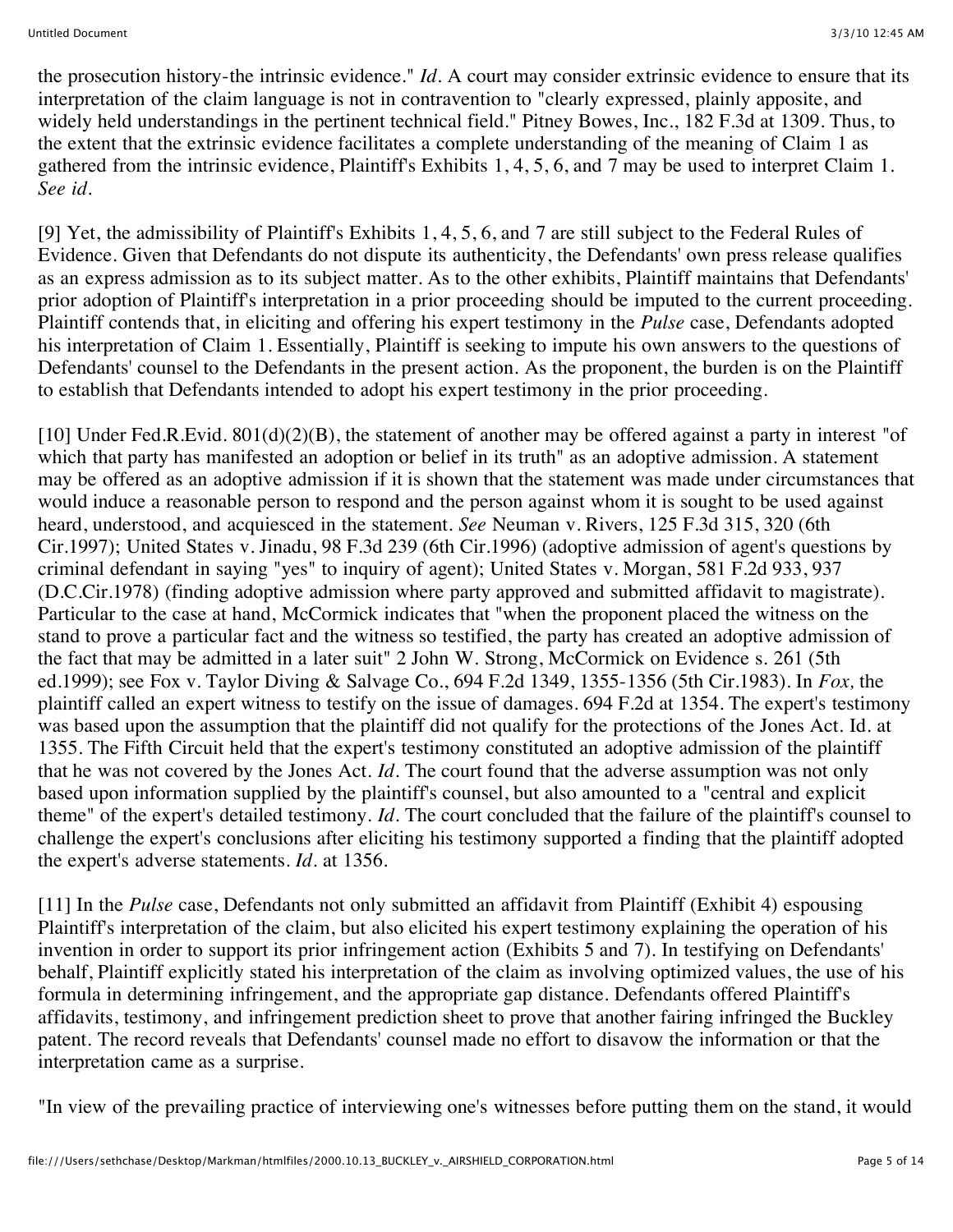the prosecution history-the intrinsic evidence." *Id.* A court may consider extrinsic evidence to ensure that its interpretation of the claim language is not in contravention to "clearly expressed, plainly apposite, and widely held understandings in the pertinent technical field." Pitney Bowes, Inc., 182 F.3d at 1309. Thus, to the extent that the extrinsic evidence facilitates a complete understanding of the meaning of Claim 1 as gathered from the intrinsic evidence, Plaintiff's Exhibits 1, 4, 5, 6, and 7 may be used to interpret Claim 1. *See id.*

[9] Yet, the admissibility of Plaintiff's Exhibits 1, 4, 5, 6, and 7 are still subject to the Federal Rules of Evidence. Given that Defendants do not dispute its authenticity, the Defendants' own press release qualifies as an express admission as to its subject matter. As to the other exhibits, Plaintiff maintains that Defendants' prior adoption of Plaintiff's interpretation in a prior proceeding should be imputed to the current proceeding. Plaintiff contends that, in eliciting and offering his expert testimony in the *Pulse* case, Defendants adopted his interpretation of Claim 1. Essentially, Plaintiff is seeking to impute his own answers to the questions of Defendants' counsel to the Defendants in the present action. As the proponent, the burden is on the Plaintiff to establish that Defendants intended to adopt his expert testimony in the prior proceeding.

[10] Under Fed.R.Evid. 801(d)(2)(B), the statement of another may be offered against a party in interest "of which that party has manifested an adoption or belief in its truth" as an adoptive admission. A statement may be offered as an adoptive admission if it is shown that the statement was made under circumstances that would induce a reasonable person to respond and the person against whom it is sought to be used against heard, understood, and acquiesced in the statement. *See* Neuman v. Rivers, 125 F.3d 315, 320 (6th Cir.1997); United States v. Jinadu, 98 F.3d 239 (6th Cir.1996) (adoptive admission of agent's questions by criminal defendant in saying "yes" to inquiry of agent); United States v. Morgan, 581 F.2d 933, 937 (D.C.Cir.1978) (finding adoptive admission where party approved and submitted affidavit to magistrate). Particular to the case at hand, McCormick indicates that "when the proponent placed the witness on the stand to prove a particular fact and the witness so testified, the party has created an adoptive admission of the fact that may be admitted in a later suit" 2 John W. Strong, McCormick on Evidence s. 261 (5th ed.1999); see Fox v. Taylor Diving & Salvage Co., 694 F.2d 1349, 1355-1356 (5th Cir.1983). In *Fox,* the plaintiff called an expert witness to testify on the issue of damages. 694 F.2d at 1354. The expert's testimony was based upon the assumption that the plaintiff did not qualify for the protections of the Jones Act. Id. at 1355. The Fifth Circuit held that the expert's testimony constituted an adoptive admission of the plaintiff that he was not covered by the Jones Act. *Id.* The court found that the adverse assumption was not only based upon information supplied by the plaintiff's counsel, but also amounted to a "central and explicit theme" of the expert's detailed testimony. *Id.* The court concluded that the failure of the plaintiff's counsel to challenge the expert's conclusions after eliciting his testimony supported a finding that the plaintiff adopted the expert's adverse statements. *Id.* at 1356.

[11] In the *Pulse* case, Defendants not only submitted an affidavit from Plaintiff (Exhibit 4) espousing Plaintiff's interpretation of the claim, but also elicited his expert testimony explaining the operation of his invention in order to support its prior infringement action (Exhibits 5 and 7). In testifying on Defendants' behalf, Plaintiff explicitly stated his interpretation of the claim as involving optimized values, the use of his formula in determining infringement, and the appropriate gap distance. Defendants offered Plaintiff's affidavits, testimony, and infringement prediction sheet to prove that another fairing infringed the Buckley patent. The record reveals that Defendants' counsel made no effort to disavow the information or that the interpretation came as a surprise.

"In view of the prevailing practice of interviewing one's witnesses before putting them on the stand, it would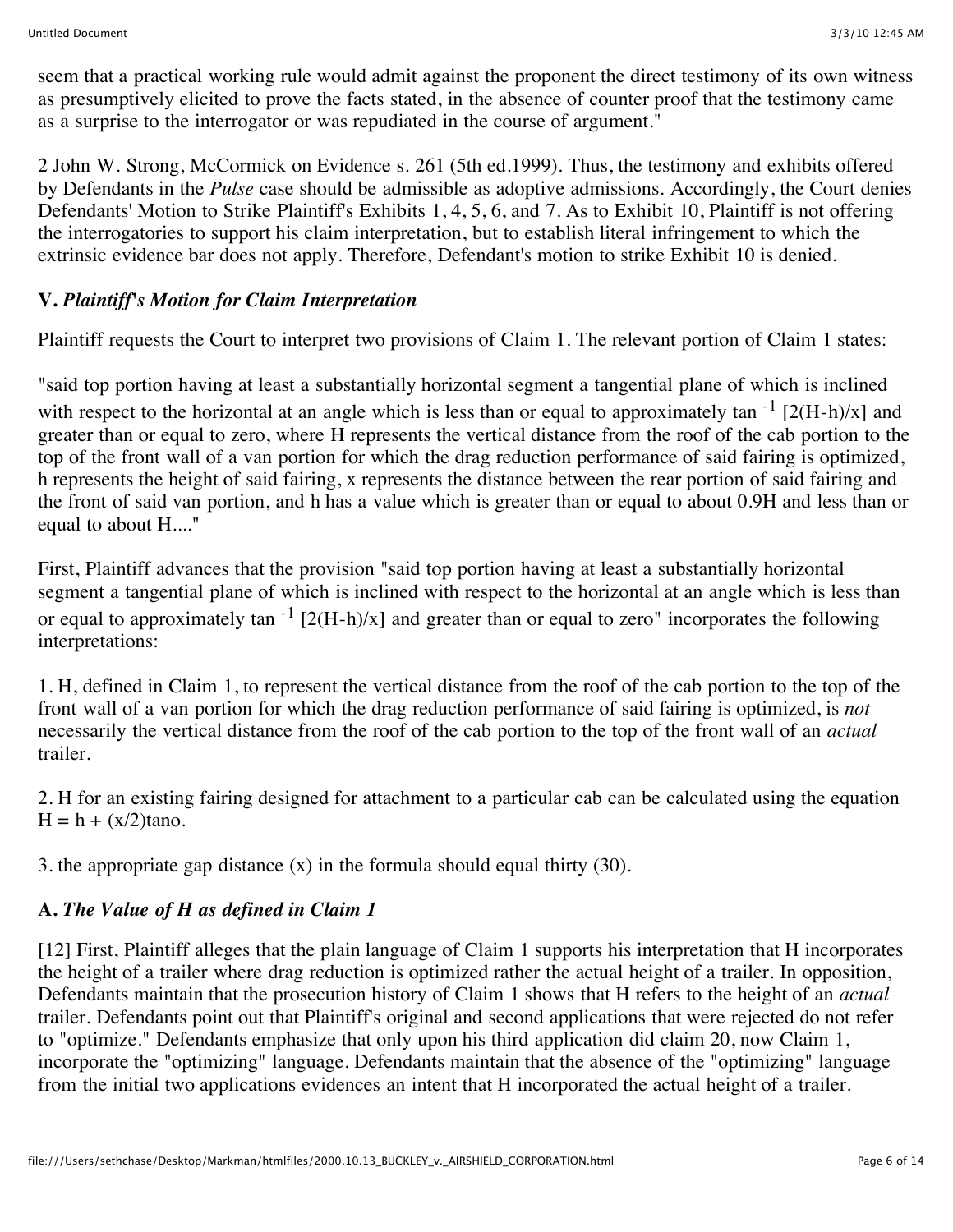seem that a practical working rule would admit against the proponent the direct testimony of its own witness as presumptively elicited to prove the facts stated, in the absence of counter proof that the testimony came as a surprise to the interrogator or was repudiated in the course of argument."

2 John W. Strong, McCormick on Evidence s. 261 (5th ed.1999). Thus, the testimony and exhibits offered by Defendants in the *Pulse* case should be admissible as adoptive admissions. Accordingly, the Court denies Defendants' Motion to Strike Plaintiff's Exhibits 1, 4, 5, 6, and 7. As to Exhibit 10, Plaintiff is not offering the interrogatories to support his claim interpretation, but to establish literal infringement to which the extrinsic evidence bar does not apply. Therefore, Defendant's motion to strike Exhibit 10 is denied.

# **V.** *Plaintiff's Motion for Claim Interpretation*

Plaintiff requests the Court to interpret two provisions of Claim 1. The relevant portion of Claim 1 states:

"said top portion having at least a substantially horizontal segment a tangential plane of which is inclined with respect to the horizontal at an angle which is less than or equal to approximately tan  $^{-1}$  [2(H-h)/x] and greater than or equal to zero, where H represents the vertical distance from the roof of the cab portion to the top of the front wall of a van portion for which the drag reduction performance of said fairing is optimized, h represents the height of said fairing, x represents the distance between the rear portion of said fairing and the front of said van portion, and h has a value which is greater than or equal to about 0.9H and less than or equal to about H...."

First, Plaintiff advances that the provision "said top portion having at least a substantially horizontal segment a tangential plane of which is inclined with respect to the horizontal at an angle which is less than or equal to approximately tan  $^{-1}$  [2(H-h)/x] and greater than or equal to zero" incorporates the following interpretations:

1. H, defined in Claim 1, to represent the vertical distance from the roof of the cab portion to the top of the front wall of a van portion for which the drag reduction performance of said fairing is optimized, is *not* necessarily the vertical distance from the roof of the cab portion to the top of the front wall of an *actual* trailer.

2. H for an existing fairing designed for attachment to a particular cab can be calculated using the equation  $H = h + (x/2)$ tano.

3. the appropriate gap distance (x) in the formula should equal thirty (30).

# **A.** *The Value of H as defined in Claim 1*

[12] First, Plaintiff alleges that the plain language of Claim 1 supports his interpretation that H incorporates the height of a trailer where drag reduction is optimized rather the actual height of a trailer. In opposition, Defendants maintain that the prosecution history of Claim 1 shows that H refers to the height of an *actual* trailer. Defendants point out that Plaintiff's original and second applications that were rejected do not refer to "optimize." Defendants emphasize that only upon his third application did claim 20, now Claim 1, incorporate the "optimizing" language. Defendants maintain that the absence of the "optimizing" language from the initial two applications evidences an intent that H incorporated the actual height of a trailer.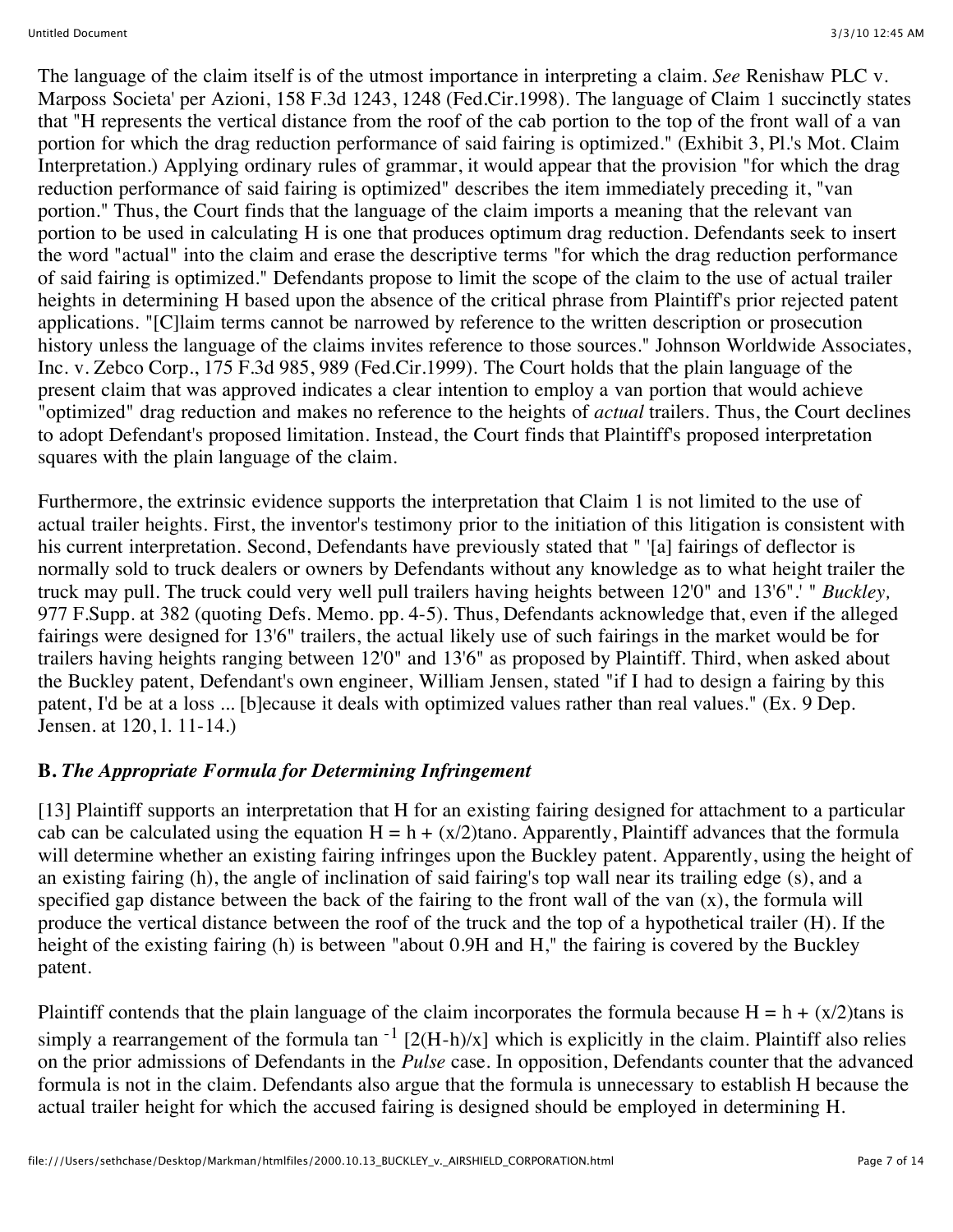The language of the claim itself is of the utmost importance in interpreting a claim. *See* Renishaw PLC v. Marposs Societa' per Azioni, 158 F.3d 1243, 1248 (Fed.Cir.1998). The language of Claim 1 succinctly states that "H represents the vertical distance from the roof of the cab portion to the top of the front wall of a van portion for which the drag reduction performance of said fairing is optimized." (Exhibit 3, Pl.'s Mot. Claim Interpretation.) Applying ordinary rules of grammar, it would appear that the provision "for which the drag reduction performance of said fairing is optimized" describes the item immediately preceding it, "van portion." Thus, the Court finds that the language of the claim imports a meaning that the relevant van portion to be used in calculating H is one that produces optimum drag reduction. Defendants seek to insert the word "actual" into the claim and erase the descriptive terms "for which the drag reduction performance of said fairing is optimized." Defendants propose to limit the scope of the claim to the use of actual trailer heights in determining H based upon the absence of the critical phrase from Plaintiff's prior rejected patent applications. "[C]laim terms cannot be narrowed by reference to the written description or prosecution history unless the language of the claims invites reference to those sources." Johnson Worldwide Associates, Inc. v. Zebco Corp., 175 F.3d 985, 989 (Fed.Cir.1999). The Court holds that the plain language of the present claim that was approved indicates a clear intention to employ a van portion that would achieve "optimized" drag reduction and makes no reference to the heights of *actual* trailers. Thus, the Court declines to adopt Defendant's proposed limitation. Instead, the Court finds that Plaintiff's proposed interpretation squares with the plain language of the claim.

Furthermore, the extrinsic evidence supports the interpretation that Claim 1 is not limited to the use of actual trailer heights. First, the inventor's testimony prior to the initiation of this litigation is consistent with his current interpretation. Second, Defendants have previously stated that " '[a] fairings of deflector is normally sold to truck dealers or owners by Defendants without any knowledge as to what height trailer the truck may pull. The truck could very well pull trailers having heights between 12'0" and 13'6".' " *Buckley,* 977 F.Supp. at 382 (quoting Defs. Memo. pp. 4-5). Thus, Defendants acknowledge that, even if the alleged fairings were designed for 13'6" trailers, the actual likely use of such fairings in the market would be for trailers having heights ranging between 12'0" and 13'6" as proposed by Plaintiff. Third, when asked about the Buckley patent, Defendant's own engineer, William Jensen, stated "if I had to design a fairing by this patent, I'd be at a loss ... [b]ecause it deals with optimized values rather than real values." (Ex. 9 Dep. Jensen. at 120, l. 11-14.)

### **B.** *The Appropriate Formula for Determining Infringement*

[13] Plaintiff supports an interpretation that H for an existing fairing designed for attachment to a particular cab can be calculated using the equation  $H = h + (x/2)$ tano. Apparently, Plaintiff advances that the formula will determine whether an existing fairing infringes upon the Buckley patent. Apparently, using the height of an existing fairing (h), the angle of inclination of said fairing's top wall near its trailing edge (s), and a specified gap distance between the back of the fairing to the front wall of the van (x), the formula will produce the vertical distance between the roof of the truck and the top of a hypothetical trailer (H). If the height of the existing fairing (h) is between "about 0.9H and H," the fairing is covered by the Buckley patent.

Plaintiff contends that the plain language of the claim incorporates the formula because  $H = h + (x/2)$ tans is simply a rearrangement of the formula tan  $^{-1}$  [2(H-h)/x] which is explicitly in the claim. Plaintiff also relies on the prior admissions of Defendants in the *Pulse* case. In opposition, Defendants counter that the advanced formula is not in the claim. Defendants also argue that the formula is unnecessary to establish H because the actual trailer height for which the accused fairing is designed should be employed in determining H.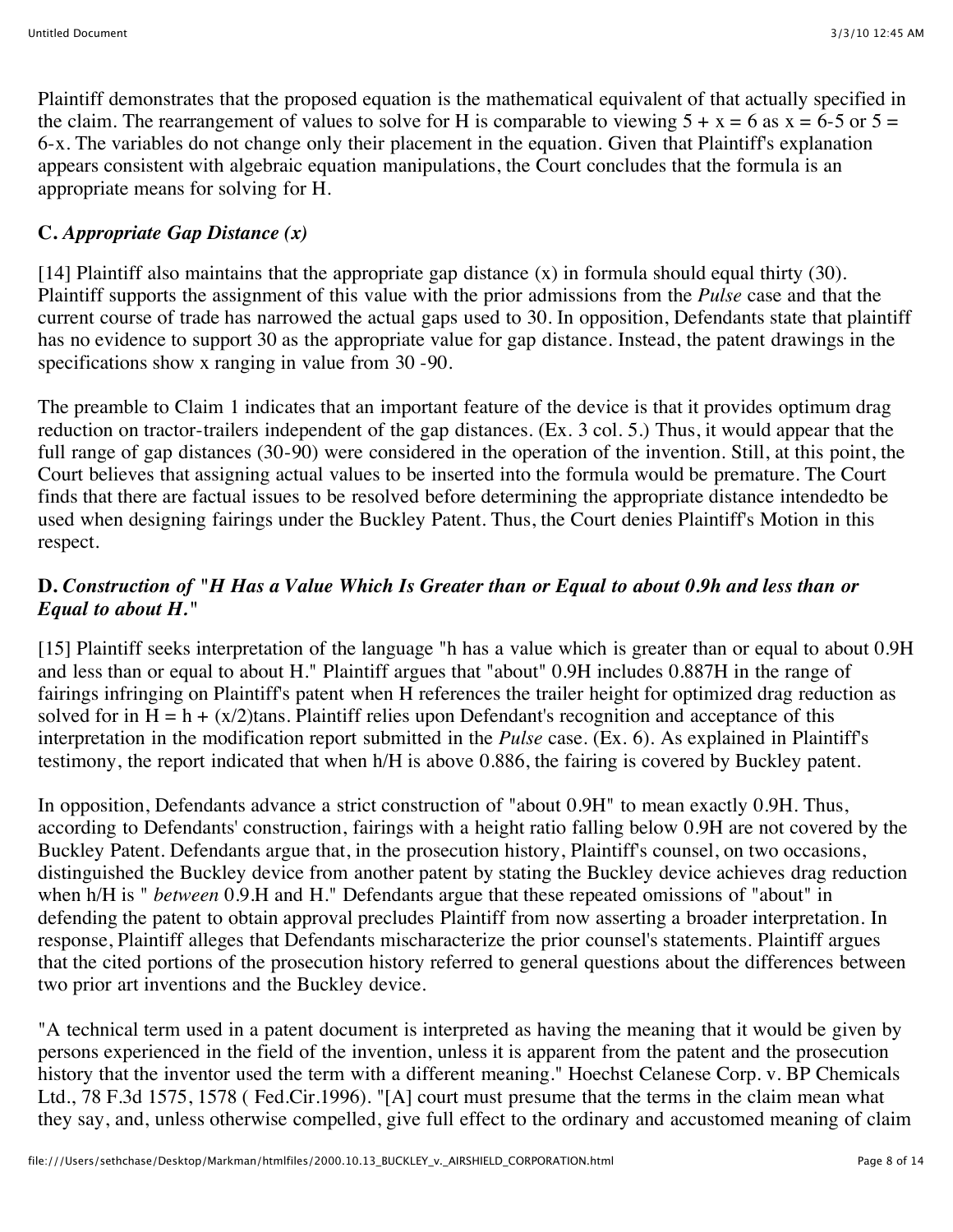Plaintiff demonstrates that the proposed equation is the mathematical equivalent of that actually specified in the claim. The rearrangement of values to solve for H is comparable to viewing  $5 + x = 6$  as  $x = 6-5$  or  $5 = 1$ 6-x. The variables do not change only their placement in the equation. Given that Plaintiff's explanation appears consistent with algebraic equation manipulations, the Court concludes that the formula is an appropriate means for solving for H.

# **C.** *Appropriate Gap Distance (x)*

[14] Plaintiff also maintains that the appropriate gap distance  $(x)$  in formula should equal thirty (30). Plaintiff supports the assignment of this value with the prior admissions from the *Pulse* case and that the current course of trade has narrowed the actual gaps used to 30. In opposition, Defendants state that plaintiff has no evidence to support 30 as the appropriate value for gap distance. Instead, the patent drawings in the specifications show x ranging in value from 30 -90.

The preamble to Claim 1 indicates that an important feature of the device is that it provides optimum drag reduction on tractor-trailers independent of the gap distances. (Ex. 3 col. 5.) Thus, it would appear that the full range of gap distances (30-90) were considered in the operation of the invention. Still, at this point, the Court believes that assigning actual values to be inserted into the formula would be premature. The Court finds that there are factual issues to be resolved before determining the appropriate distance intendedto be used when designing fairings under the Buckley Patent. Thus, the Court denies Plaintiff's Motion in this respect.

### **D.** *Construction of "H Has a Value Which Is Greater than or Equal to about 0.9h and less than or Equal to about H."*

[15] Plaintiff seeks interpretation of the language "h has a value which is greater than or equal to about 0.9H and less than or equal to about H." Plaintiff argues that "about" 0.9H includes 0.887H in the range of fairings infringing on Plaintiff's patent when H references the trailer height for optimized drag reduction as solved for in  $H = h + (x/2)$ tans. Plaintiff relies upon Defendant's recognition and acceptance of this interpretation in the modification report submitted in the *Pulse* case. (Ex. 6). As explained in Plaintiff's testimony, the report indicated that when h/H is above 0.886, the fairing is covered by Buckley patent.

In opposition, Defendants advance a strict construction of "about 0.9H" to mean exactly 0.9H. Thus, according to Defendants' construction, fairings with a height ratio falling below 0.9H are not covered by the Buckley Patent. Defendants argue that, in the prosecution history, Plaintiff's counsel, on two occasions, distinguished the Buckley device from another patent by stating the Buckley device achieves drag reduction when h/H is " *between* 0.9.H and H." Defendants argue that these repeated omissions of "about" in defending the patent to obtain approval precludes Plaintiff from now asserting a broader interpretation. In response, Plaintiff alleges that Defendants mischaracterize the prior counsel's statements. Plaintiff argues that the cited portions of the prosecution history referred to general questions about the differences between two prior art inventions and the Buckley device.

"A technical term used in a patent document is interpreted as having the meaning that it would be given by persons experienced in the field of the invention, unless it is apparent from the patent and the prosecution history that the inventor used the term with a different meaning." Hoechst Celanese Corp. v. BP Chemicals Ltd., 78 F.3d 1575, 1578 ( Fed.Cir.1996). "[A] court must presume that the terms in the claim mean what they say, and, unless otherwise compelled, give full effect to the ordinary and accustomed meaning of claim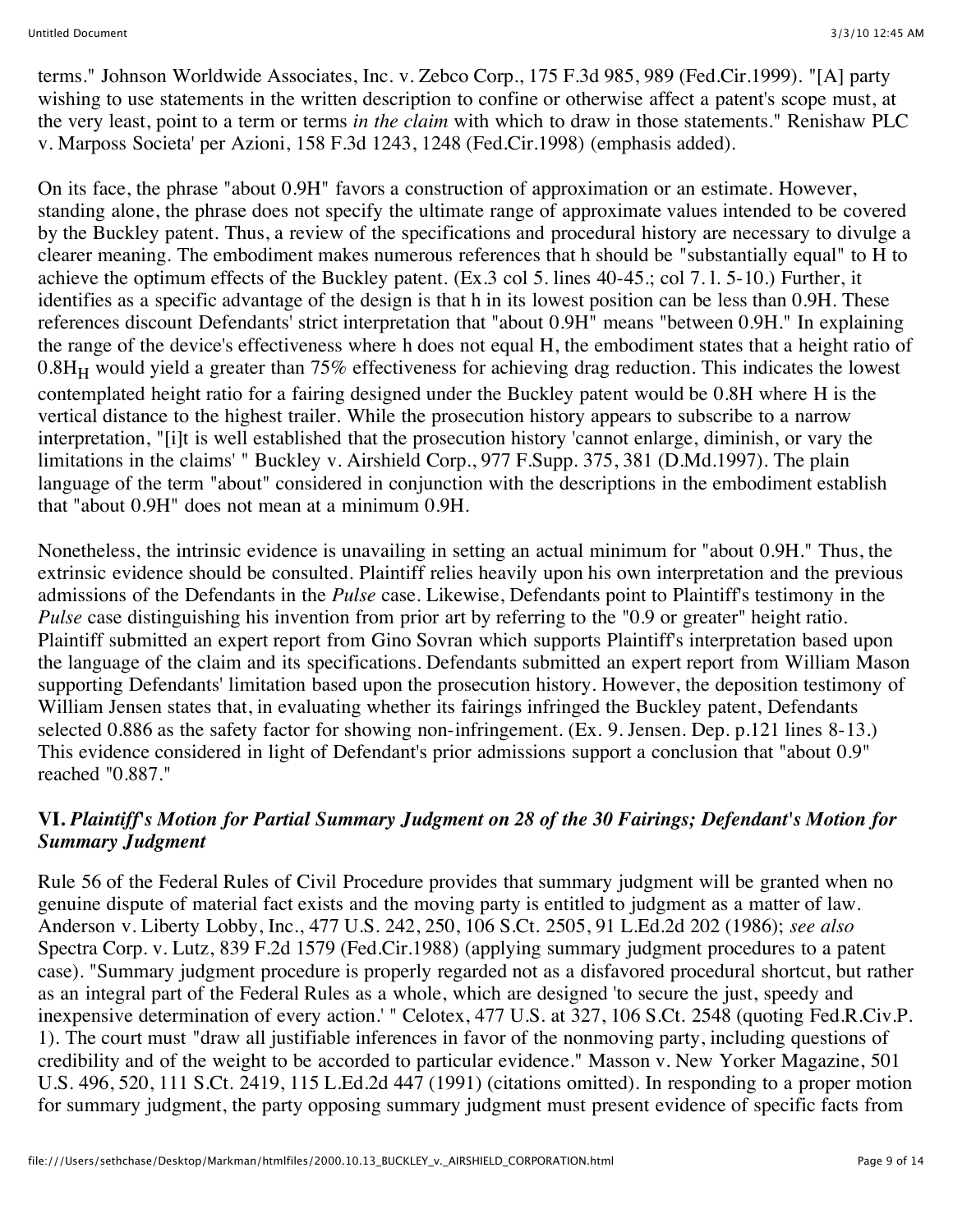terms." Johnson Worldwide Associates, Inc. v. Zebco Corp., 175 F.3d 985, 989 (Fed.Cir.1999). "[A] party wishing to use statements in the written description to confine or otherwise affect a patent's scope must, at the very least, point to a term or terms *in the claim* with which to draw in those statements." Renishaw PLC v. Marposs Societa' per Azioni, 158 F.3d 1243, 1248 (Fed.Cir.1998) (emphasis added).

On its face, the phrase "about 0.9H" favors a construction of approximation or an estimate. However, standing alone, the phrase does not specify the ultimate range of approximate values intended to be covered by the Buckley patent. Thus, a review of the specifications and procedural history are necessary to divulge a clearer meaning. The embodiment makes numerous references that h should be "substantially equal" to H to achieve the optimum effects of the Buckley patent. (Ex.3 col 5. lines 40-45.; col 7. l. 5-10.) Further, it identifies as a specific advantage of the design is that h in its lowest position can be less than 0.9H. These references discount Defendants' strict interpretation that "about 0.9H" means "between 0.9H." In explaining the range of the device's effectiveness where h does not equal H, the embodiment states that a height ratio of  $0.8H_H$  would yield a greater than 75% effectiveness for achieving drag reduction. This indicates the lowest contemplated height ratio for a fairing designed under the Buckley patent would be 0.8H where H is the vertical distance to the highest trailer. While the prosecution history appears to subscribe to a narrow interpretation, "[i]t is well established that the prosecution history 'cannot enlarge, diminish, or vary the limitations in the claims' " Buckley v. Airshield Corp., 977 F.Supp. 375, 381 (D.Md.1997). The plain language of the term "about" considered in conjunction with the descriptions in the embodiment establish that "about 0.9H" does not mean at a minimum 0.9H.

Nonetheless, the intrinsic evidence is unavailing in setting an actual minimum for "about 0.9H." Thus, the extrinsic evidence should be consulted. Plaintiff relies heavily upon his own interpretation and the previous admissions of the Defendants in the *Pulse* case. Likewise, Defendants point to Plaintiff's testimony in the *Pulse* case distinguishing his invention from prior art by referring to the "0.9 or greater" height ratio. Plaintiff submitted an expert report from Gino Sovran which supports Plaintiff's interpretation based upon the language of the claim and its specifications. Defendants submitted an expert report from William Mason supporting Defendants' limitation based upon the prosecution history. However, the deposition testimony of William Jensen states that, in evaluating whether its fairings infringed the Buckley patent, Defendants selected 0.886 as the safety factor for showing non-infringement. (Ex. 9. Jensen. Dep. p.121 lines 8-13.) This evidence considered in light of Defendant's prior admissions support a conclusion that "about 0.9" reached "0.887."

### **VI.** *Plaintiff's Motion for Partial Summary Judgment on 28 of the 30 Fairings; Defendant's Motion for Summary Judgment*

Rule 56 of the Federal Rules of Civil Procedure provides that summary judgment will be granted when no genuine dispute of material fact exists and the moving party is entitled to judgment as a matter of law. Anderson v. Liberty Lobby, Inc., 477 U.S. 242, 250, 106 S.Ct. 2505, 91 L.Ed.2d 202 (1986); *see also* Spectra Corp. v. Lutz, 839 F.2d 1579 (Fed.Cir.1988) (applying summary judgment procedures to a patent case). "Summary judgment procedure is properly regarded not as a disfavored procedural shortcut, but rather as an integral part of the Federal Rules as a whole, which are designed 'to secure the just, speedy and inexpensive determination of every action.' " Celotex, 477 U.S. at 327, 106 S.Ct. 2548 (quoting Fed.R.Civ.P. 1). The court must "draw all justifiable inferences in favor of the nonmoving party, including questions of credibility and of the weight to be accorded to particular evidence." Masson v. New Yorker Magazine, 501 U.S. 496, 520, 111 S.Ct. 2419, 115 L.Ed.2d 447 (1991) (citations omitted). In responding to a proper motion for summary judgment, the party opposing summary judgment must present evidence of specific facts from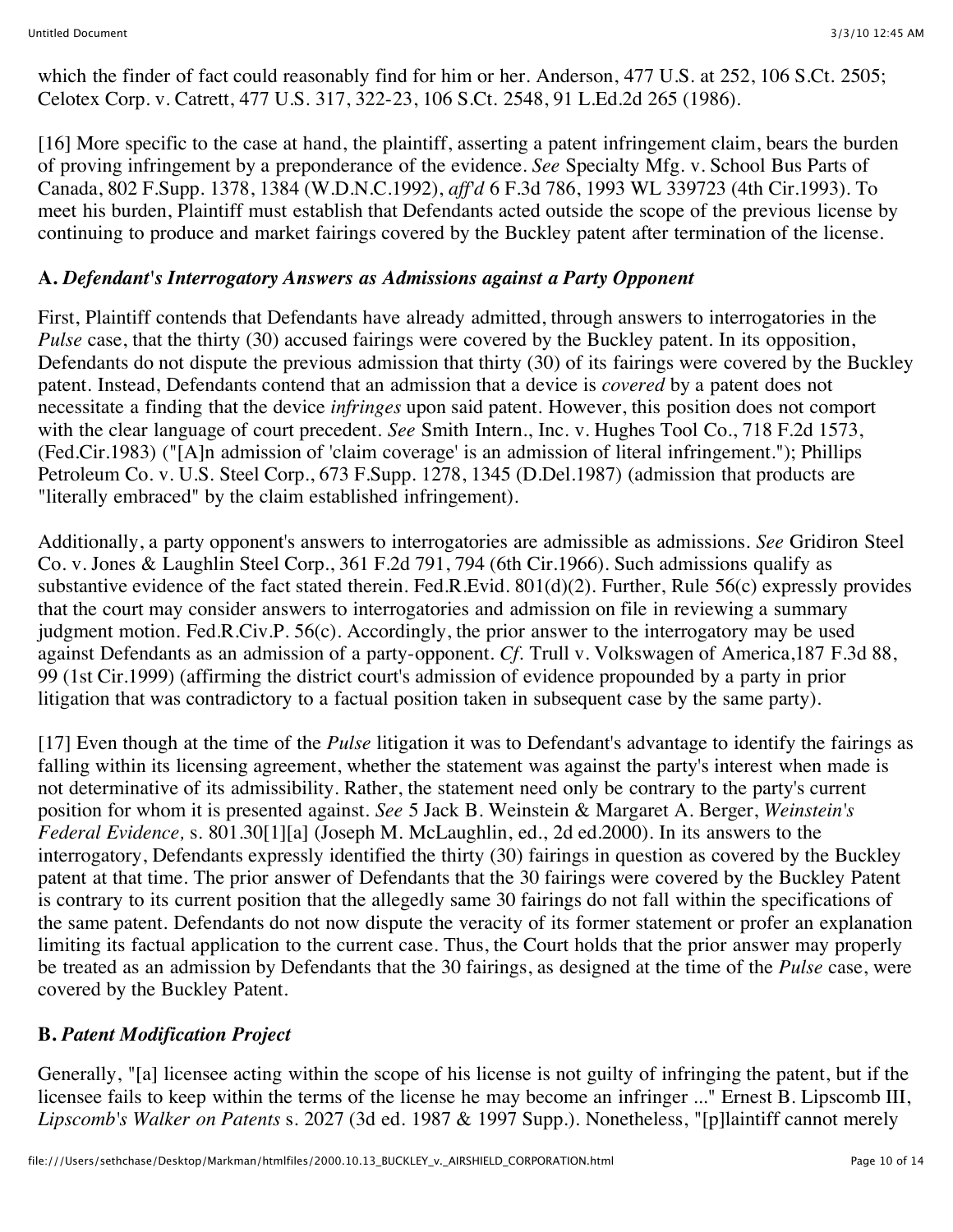which the finder of fact could reasonably find for him or her. Anderson, 477 U.S. at 252, 106 S.Ct. 2505; Celotex Corp. v. Catrett, 477 U.S. 317, 322-23, 106 S.Ct. 2548, 91 L.Ed.2d 265 (1986).

[16] More specific to the case at hand, the plaintiff, asserting a patent infringement claim, bears the burden of proving infringement by a preponderance of the evidence. *See* Specialty Mfg. v. School Bus Parts of Canada, 802 F.Supp. 1378, 1384 (W.D.N.C.1992), *aff'd* 6 F.3d 786, 1993 WL 339723 (4th Cir.1993). To meet his burden, Plaintiff must establish that Defendants acted outside the scope of the previous license by continuing to produce and market fairings covered by the Buckley patent after termination of the license.

### **A.** *Defendant's Interrogatory Answers as Admissions against a Party Opponent*

First, Plaintiff contends that Defendants have already admitted, through answers to interrogatories in the *Pulse* case, that the thirty (30) accused fairings were covered by the Buckley patent. In its opposition, Defendants do not dispute the previous admission that thirty (30) of its fairings were covered by the Buckley patent. Instead, Defendants contend that an admission that a device is *covered* by a patent does not necessitate a finding that the device *infringes* upon said patent. However, this position does not comport with the clear language of court precedent. *See* Smith Intern., Inc. v. Hughes Tool Co., 718 F.2d 1573, (Fed.Cir.1983) ("[A]n admission of 'claim coverage' is an admission of literal infringement."); Phillips Petroleum Co. v. U.S. Steel Corp., 673 F.Supp. 1278, 1345 (D.Del.1987) (admission that products are "literally embraced" by the claim established infringement).

Additionally, a party opponent's answers to interrogatories are admissible as admissions. *See* Gridiron Steel Co. v. Jones & Laughlin Steel Corp., 361 F.2d 791, 794 (6th Cir.1966). Such admissions qualify as substantive evidence of the fact stated therein. Fed.R.Evid. 801(d)(2). Further, Rule 56(c) expressly provides that the court may consider answers to interrogatories and admission on file in reviewing a summary judgment motion. Fed.R.Civ.P. 56(c). Accordingly, the prior answer to the interrogatory may be used against Defendants as an admission of a party-opponent. *Cf.* Trull v. Volkswagen of America,187 F.3d 88, 99 (1st Cir.1999) (affirming the district court's admission of evidence propounded by a party in prior litigation that was contradictory to a factual position taken in subsequent case by the same party).

[17] Even though at the time of the *Pulse* litigation it was to Defendant's advantage to identify the fairings as falling within its licensing agreement, whether the statement was against the party's interest when made is not determinative of its admissibility. Rather, the statement need only be contrary to the party's current position for whom it is presented against. *See* 5 Jack B. Weinstein & Margaret A. Berger, *Weinstein's Federal Evidence,* s. 801.30[1][a] (Joseph M. McLaughlin, ed., 2d ed.2000). In its answers to the interrogatory, Defendants expressly identified the thirty (30) fairings in question as covered by the Buckley patent at that time. The prior answer of Defendants that the 30 fairings were covered by the Buckley Patent is contrary to its current position that the allegedly same 30 fairings do not fall within the specifications of the same patent. Defendants do not now dispute the veracity of its former statement or profer an explanation limiting its factual application to the current case. Thus, the Court holds that the prior answer may properly be treated as an admission by Defendants that the 30 fairings, as designed at the time of the *Pulse* case, were covered by the Buckley Patent.

### **B.** *Patent Modification Project*

Generally, "[a] licensee acting within the scope of his license is not guilty of infringing the patent, but if the licensee fails to keep within the terms of the license he may become an infringer ..." Ernest B. Lipscomb III, *Lipscomb's Walker on Patents* s. 2027 (3d ed. 1987 & 1997 Supp.). Nonetheless, "[p]laintiff cannot merely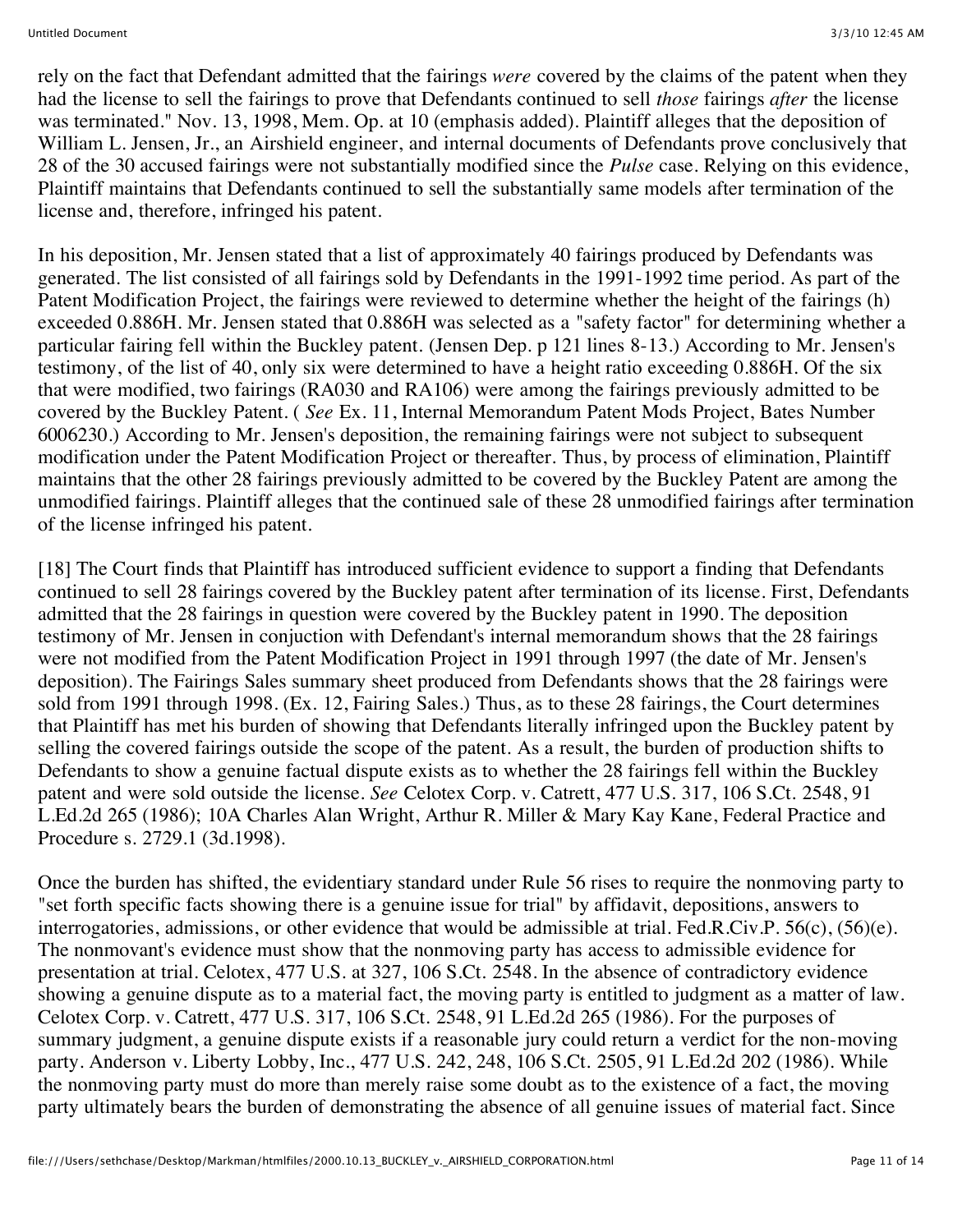rely on the fact that Defendant admitted that the fairings *were* covered by the claims of the patent when they had the license to sell the fairings to prove that Defendants continued to sell *those* fairings *after* the license was terminated." Nov. 13, 1998, Mem. Op. at 10 (emphasis added). Plaintiff alleges that the deposition of William L. Jensen, Jr., an Airshield engineer, and internal documents of Defendants prove conclusively that 28 of the 30 accused fairings were not substantially modified since the *Pulse* case. Relying on this evidence, Plaintiff maintains that Defendants continued to sell the substantially same models after termination of the license and, therefore, infringed his patent.

In his deposition, Mr. Jensen stated that a list of approximately 40 fairings produced by Defendants was generated. The list consisted of all fairings sold by Defendants in the 1991-1992 time period. As part of the Patent Modification Project, the fairings were reviewed to determine whether the height of the fairings (h) exceeded 0.886H. Mr. Jensen stated that 0.886H was selected as a "safety factor" for determining whether a particular fairing fell within the Buckley patent. (Jensen Dep. p 121 lines 8-13.) According to Mr. Jensen's testimony, of the list of 40, only six were determined to have a height ratio exceeding 0.886H. Of the six that were modified, two fairings (RA030 and RA106) were among the fairings previously admitted to be covered by the Buckley Patent. ( *See* Ex. 11, Internal Memorandum Patent Mods Project, Bates Number 6006230.) According to Mr. Jensen's deposition, the remaining fairings were not subject to subsequent modification under the Patent Modification Project or thereafter. Thus, by process of elimination, Plaintiff maintains that the other 28 fairings previously admitted to be covered by the Buckley Patent are among the unmodified fairings. Plaintiff alleges that the continued sale of these 28 unmodified fairings after termination of the license infringed his patent.

[18] The Court finds that Plaintiff has introduced sufficient evidence to support a finding that Defendants continued to sell 28 fairings covered by the Buckley patent after termination of its license. First, Defendants admitted that the 28 fairings in question were covered by the Buckley patent in 1990. The deposition testimony of Mr. Jensen in conjuction with Defendant's internal memorandum shows that the 28 fairings were not modified from the Patent Modification Project in 1991 through 1997 (the date of Mr. Jensen's deposition). The Fairings Sales summary sheet produced from Defendants shows that the 28 fairings were sold from 1991 through 1998. (Ex. 12, Fairing Sales.) Thus, as to these 28 fairings, the Court determines that Plaintiff has met his burden of showing that Defendants literally infringed upon the Buckley patent by selling the covered fairings outside the scope of the patent. As a result, the burden of production shifts to Defendants to show a genuine factual dispute exists as to whether the 28 fairings fell within the Buckley patent and were sold outside the license. *See* Celotex Corp. v. Catrett, 477 U.S. 317, 106 S.Ct. 2548, 91 L.Ed.2d 265 (1986); 10A Charles Alan Wright, Arthur R. Miller & Mary Kay Kane, Federal Practice and Procedure s. 2729.1 (3d.1998).

Once the burden has shifted, the evidentiary standard under Rule 56 rises to require the nonmoving party to "set forth specific facts showing there is a genuine issue for trial" by affidavit, depositions, answers to interrogatories, admissions, or other evidence that would be admissible at trial. Fed.R.Civ.P. 56(c), (56)(e). The nonmovant's evidence must show that the nonmoving party has access to admissible evidence for presentation at trial. Celotex, 477 U.S. at 327, 106 S.Ct. 2548. In the absence of contradictory evidence showing a genuine dispute as to a material fact, the moving party is entitled to judgment as a matter of law. Celotex Corp. v. Catrett, 477 U.S. 317, 106 S.Ct. 2548, 91 L.Ed.2d 265 (1986). For the purposes of summary judgment, a genuine dispute exists if a reasonable jury could return a verdict for the non-moving party. Anderson v. Liberty Lobby, Inc., 477 U.S. 242, 248, 106 S.Ct. 2505, 91 L.Ed.2d 202 (1986). While the nonmoving party must do more than merely raise some doubt as to the existence of a fact, the moving party ultimately bears the burden of demonstrating the absence of all genuine issues of material fact. Since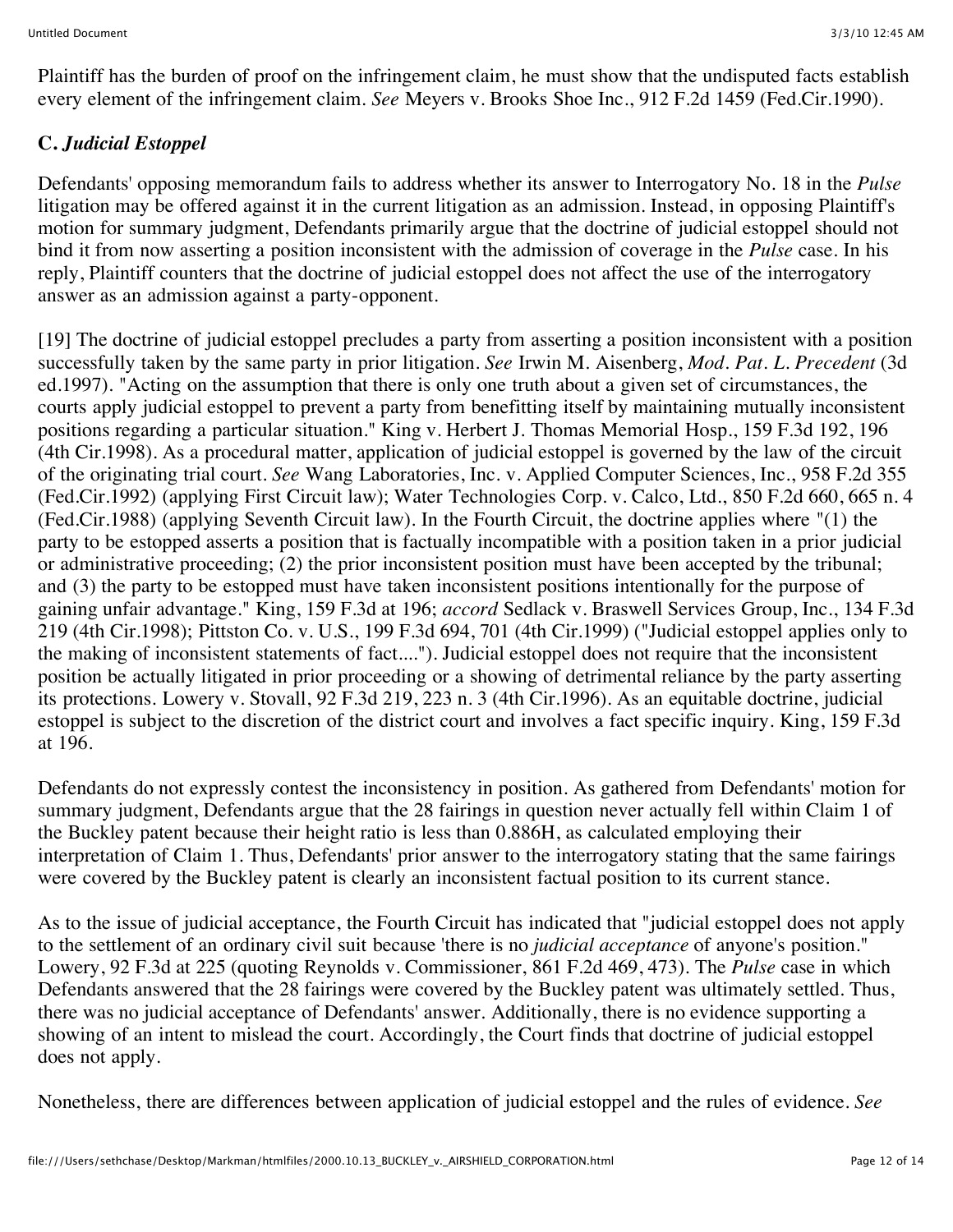Plaintiff has the burden of proof on the infringement claim, he must show that the undisputed facts establish every element of the infringement claim. *See* Meyers v. Brooks Shoe Inc., 912 F.2d 1459 (Fed.Cir.1990).

# **C.** *Judicial Estoppel*

Defendants' opposing memorandum fails to address whether its answer to Interrogatory No. 18 in the *Pulse* litigation may be offered against it in the current litigation as an admission. Instead, in opposing Plaintiff's motion for summary judgment, Defendants primarily argue that the doctrine of judicial estoppel should not bind it from now asserting a position inconsistent with the admission of coverage in the *Pulse* case. In his reply, Plaintiff counters that the doctrine of judicial estoppel does not affect the use of the interrogatory answer as an admission against a party-opponent.

[19] The doctrine of judicial estoppel precludes a party from asserting a position inconsistent with a position successfully taken by the same party in prior litigation. *See* Irwin M. Aisenberg, *Mod. Pat. L. Precedent* (3d ed.1997). "Acting on the assumption that there is only one truth about a given set of circumstances, the courts apply judicial estoppel to prevent a party from benefitting itself by maintaining mutually inconsistent positions regarding a particular situation." King v. Herbert J. Thomas Memorial Hosp., 159 F.3d 192, 196 (4th Cir.1998). As a procedural matter, application of judicial estoppel is governed by the law of the circuit of the originating trial court. *See* Wang Laboratories, Inc. v. Applied Computer Sciences, Inc., 958 F.2d 355 (Fed.Cir.1992) (applying First Circuit law); Water Technologies Corp. v. Calco, Ltd., 850 F.2d 660, 665 n. 4 (Fed.Cir.1988) (applying Seventh Circuit law). In the Fourth Circuit, the doctrine applies where "(1) the party to be estopped asserts a position that is factually incompatible with a position taken in a prior judicial or administrative proceeding; (2) the prior inconsistent position must have been accepted by the tribunal; and (3) the party to be estopped must have taken inconsistent positions intentionally for the purpose of gaining unfair advantage." King, 159 F.3d at 196; *accord* Sedlack v. Braswell Services Group, Inc., 134 F.3d 219 (4th Cir.1998); Pittston Co. v. U.S., 199 F.3d 694, 701 (4th Cir.1999) ("Judicial estoppel applies only to the making of inconsistent statements of fact...."). Judicial estoppel does not require that the inconsistent position be actually litigated in prior proceeding or a showing of detrimental reliance by the party asserting its protections. Lowery v. Stovall, 92 F.3d 219, 223 n. 3 (4th Cir.1996). As an equitable doctrine, judicial estoppel is subject to the discretion of the district court and involves a fact specific inquiry. King, 159 F.3d at 196.

Defendants do not expressly contest the inconsistency in position. As gathered from Defendants' motion for summary judgment, Defendants argue that the 28 fairings in question never actually fell within Claim 1 of the Buckley patent because their height ratio is less than 0.886H, as calculated employing their interpretation of Claim 1. Thus, Defendants' prior answer to the interrogatory stating that the same fairings were covered by the Buckley patent is clearly an inconsistent factual position to its current stance.

As to the issue of judicial acceptance, the Fourth Circuit has indicated that "judicial estoppel does not apply to the settlement of an ordinary civil suit because 'there is no *judicial acceptance* of anyone's position." Lowery, 92 F.3d at 225 (quoting Reynolds v. Commissioner, 861 F.2d 469, 473). The *Pulse* case in which Defendants answered that the 28 fairings were covered by the Buckley patent was ultimately settled. Thus, there was no judicial acceptance of Defendants' answer. Additionally, there is no evidence supporting a showing of an intent to mislead the court. Accordingly, the Court finds that doctrine of judicial estoppel does not apply.

Nonetheless, there are differences between application of judicial estoppel and the rules of evidence. *See*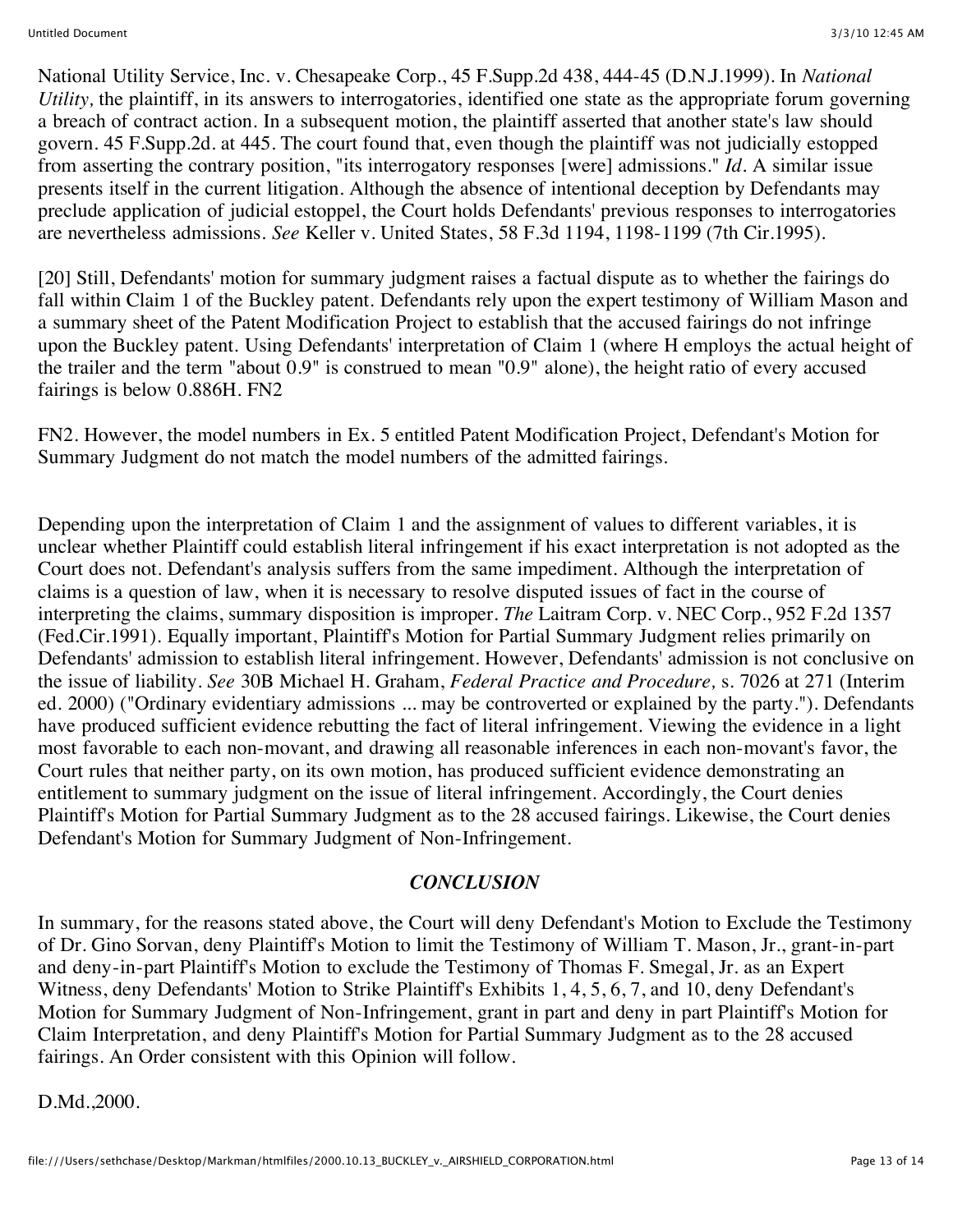National Utility Service, Inc. v. Chesapeake Corp., 45 F.Supp.2d 438, 444-45 (D.N.J.1999). In *National Utility,* the plaintiff, in its answers to interrogatories, identified one state as the appropriate forum governing a breach of contract action. In a subsequent motion, the plaintiff asserted that another state's law should govern. 45 F.Supp.2d. at 445. The court found that, even though the plaintiff was not judicially estopped from asserting the contrary position, "its interrogatory responses [were] admissions." *Id.* A similar issue presents itself in the current litigation. Although the absence of intentional deception by Defendants may preclude application of judicial estoppel, the Court holds Defendants' previous responses to interrogatories are nevertheless admissions. *See* Keller v. United States, 58 F.3d 1194, 1198-1199 (7th Cir.1995).

[20] Still, Defendants' motion for summary judgment raises a factual dispute as to whether the fairings do fall within Claim 1 of the Buckley patent. Defendants rely upon the expert testimony of William Mason and a summary sheet of the Patent Modification Project to establish that the accused fairings do not infringe upon the Buckley patent. Using Defendants' interpretation of Claim 1 (where H employs the actual height of the trailer and the term "about 0.9" is construed to mean "0.9" alone), the height ratio of every accused fairings is below 0.886H. FN2

FN2. However, the model numbers in Ex. 5 entitled Patent Modification Project, Defendant's Motion for Summary Judgment do not match the model numbers of the admitted fairings.

Depending upon the interpretation of Claim 1 and the assignment of values to different variables, it is unclear whether Plaintiff could establish literal infringement if his exact interpretation is not adopted as the Court does not. Defendant's analysis suffers from the same impediment. Although the interpretation of claims is a question of law, when it is necessary to resolve disputed issues of fact in the course of interpreting the claims, summary disposition is improper. *The* Laitram Corp. v. NEC Corp., 952 F.2d 1357 (Fed.Cir.1991). Equally important, Plaintiff's Motion for Partial Summary Judgment relies primarily on Defendants' admission to establish literal infringement. However, Defendants' admission is not conclusive on the issue of liability. *See* 30B Michael H. Graham, *Federal Practice and Procedure,* s. 7026 at 271 (Interim ed. 2000) ("Ordinary evidentiary admissions ... may be controverted or explained by the party."). Defendants have produced sufficient evidence rebutting the fact of literal infringement. Viewing the evidence in a light most favorable to each non-movant, and drawing all reasonable inferences in each non-movant's favor, the Court rules that neither party, on its own motion, has produced sufficient evidence demonstrating an entitlement to summary judgment on the issue of literal infringement. Accordingly, the Court denies Plaintiff's Motion for Partial Summary Judgment as to the 28 accused fairings. Likewise, the Court denies Defendant's Motion for Summary Judgment of Non-Infringement.

### *CONCLUSION*

In summary, for the reasons stated above, the Court will deny Defendant's Motion to Exclude the Testimony of Dr. Gino Sorvan, deny Plaintiff's Motion to limit the Testimony of William T. Mason, Jr., grant-in-part and deny-in-part Plaintiff's Motion to exclude the Testimony of Thomas F. Smegal, Jr. as an Expert Witness, deny Defendants' Motion to Strike Plaintiff's Exhibits 1, 4, 5, 6, 7, and 10, deny Defendant's Motion for Summary Judgment of Non-Infringement, grant in part and deny in part Plaintiff's Motion for Claim Interpretation, and deny Plaintiff's Motion for Partial Summary Judgment as to the 28 accused fairings. An Order consistent with this Opinion will follow.

D.Md.,2000.